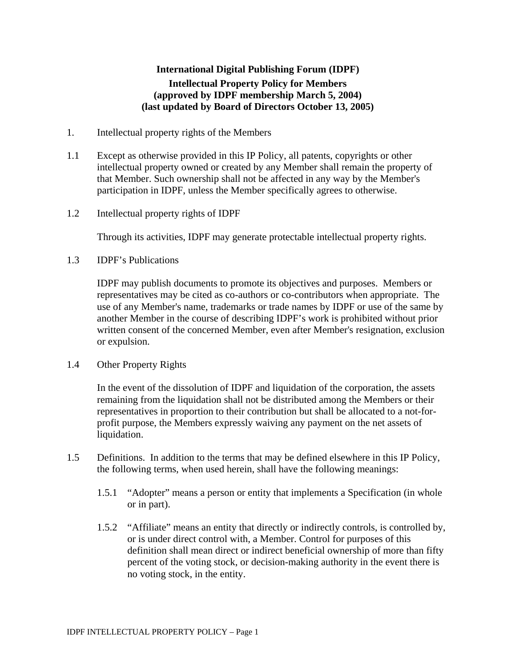# **International Digital Publishing Forum (IDPF) Intellectual Property Policy for Members (approved by IDPF membership March 5, 2004) (last updated by Board of Directors October 13, 2005)**

- 1. Intellectual property rights of the Members
- 1.1 Except as otherwise provided in this IP Policy, all patents, copyrights or other intellectual property owned or created by any Member shall remain the property of that Member. Such ownership shall not be affected in any way by the Member's participation in IDPF, unless the Member specifically agrees to otherwise.
- 1.2 Intellectual property rights of IDPF

Through its activities, IDPF may generate protectable intellectual property rights.

1.3 IDPF's Publications

IDPF may publish documents to promote its objectives and purposes. Members or representatives may be cited as co-authors or co-contributors when appropriate. The use of any Member's name, trademarks or trade names by IDPF or use of the same by another Member in the course of describing IDPF's work is prohibited without prior written consent of the concerned Member, even after Member's resignation, exclusion or expulsion.

1.4 Other Property Rights

In the event of the dissolution of IDPF and liquidation of the corporation, the assets remaining from the liquidation shall not be distributed among the Members or their representatives in proportion to their contribution but shall be allocated to a not-forprofit purpose, the Members expressly waiving any payment on the net assets of liquidation.

- 1.5 Definitions. In addition to the terms that may be defined elsewhere in this IP Policy, the following terms, when used herein, shall have the following meanings:
	- 1.5.1 "Adopter" means a person or entity that implements a Specification (in whole or in part).
	- 1.5.2 "Affiliate" means an entity that directly or indirectly controls, is controlled by, or is under direct control with, a Member. Control for purposes of this definition shall mean direct or indirect beneficial ownership of more than fifty percent of the voting stock, or decision-making authority in the event there is no voting stock, in the entity.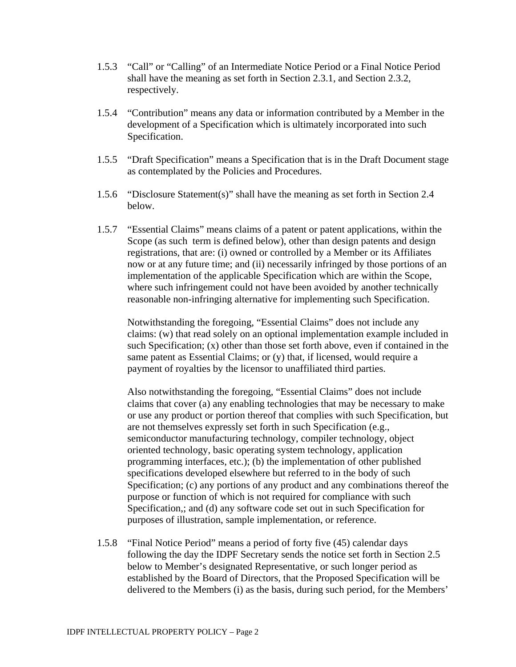- 1.5.3 "Call" or "Calling" of an Intermediate Notice Period or a Final Notice Period shall have the meaning as set forth in Section 2.3.1, and Section 2.3.2, respectively.
- 1.5.4 "Contribution" means any data or information contributed by a Member in the development of a Specification which is ultimately incorporated into such Specification.
- 1.5.5 "Draft Specification" means a Specification that is in the Draft Document stage as contemplated by the Policies and Procedures.
- 1.5.6 "Disclosure Statement(s)" shall have the meaning as set forth in Section 2.4 below.
- 1.5.7 "Essential Claims" means claims of a patent or patent applications, within the Scope (as such term is defined below), other than design patents and design registrations, that are: (i) owned or controlled by a Member or its Affiliates now or at any future time; and (ii) necessarily infringed by those portions of an implementation of the applicable Specification which are within the Scope, where such infringement could not have been avoided by another technically reasonable non-infringing alternative for implementing such Specification.

Notwithstanding the foregoing, "Essential Claims" does not include any claims: (w) that read solely on an optional implementation example included in such Specification; (x) other than those set forth above, even if contained in the same patent as Essential Claims; or (y) that, if licensed, would require a payment of royalties by the licensor to unaffiliated third parties.

Also notwithstanding the foregoing, "Essential Claims" does not include claims that cover (a) any enabling technologies that may be necessary to make or use any product or portion thereof that complies with such Specification, but are not themselves expressly set forth in such Specification (e.g., semiconductor manufacturing technology, compiler technology, object oriented technology, basic operating system technology, application programming interfaces, etc.); (b) the implementation of other published specifications developed elsewhere but referred to in the body of such Specification; (c) any portions of any product and any combinations thereof the purpose or function of which is not required for compliance with such Specification,; and (d) any software code set out in such Specification for purposes of illustration, sample implementation, or reference.

1.5.8 "Final Notice Period" means a period of forty five (45) calendar days following the day the IDPF Secretary sends the notice set forth in Section 2.5 below to Member's designated Representative, or such longer period as established by the Board of Directors, that the Proposed Specification will be delivered to the Members (i) as the basis, during such period, for the Members'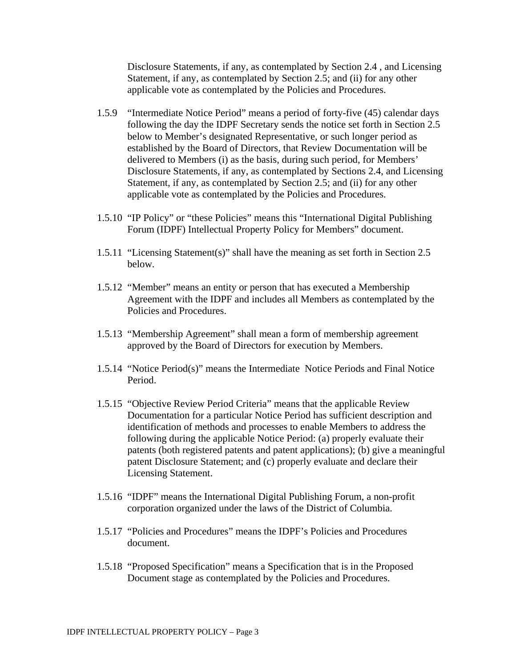Disclosure Statements, if any, as contemplated by Section 2.4 , and Licensing Statement, if any, as contemplated by Section 2.5; and (ii) for any other applicable vote as contemplated by the Policies and Procedures.

- 1.5.9 "Intermediate Notice Period" means a period of forty-five (45) calendar days following the day the IDPF Secretary sends the notice set forth in Section 2.5 below to Member's designated Representative, or such longer period as established by the Board of Directors, that Review Documentation will be delivered to Members (i) as the basis, during such period, for Members' Disclosure Statements, if any, as contemplated by Sections 2.4, and Licensing Statement, if any, as contemplated by Section 2.5; and (ii) for any other applicable vote as contemplated by the Policies and Procedures.
- 1.5.10 "IP Policy" or "these Policies" means this "International Digital Publishing Forum (IDPF) Intellectual Property Policy for Members" document.
- 1.5.11 "Licensing Statement(s)" shall have the meaning as set forth in Section 2.5 below.
- 1.5.12 "Member" means an entity or person that has executed a Membership Agreement with the IDPF and includes all Members as contemplated by the Policies and Procedures.
- 1.5.13 "Membership Agreement" shall mean a form of membership agreement approved by the Board of Directors for execution by Members.
- 1.5.14 "Notice Period(s)" means the Intermediate Notice Periods and Final Notice Period.
- 1.5.15 "Objective Review Period Criteria" means that the applicable Review Documentation for a particular Notice Period has sufficient description and identification of methods and processes to enable Members to address the following during the applicable Notice Period: (a) properly evaluate their patents (both registered patents and patent applications); (b) give a meaningful patent Disclosure Statement; and (c) properly evaluate and declare their Licensing Statement.
- 1.5.16 "IDPF" means the International Digital Publishing Forum, a non-profit corporation organized under the laws of the District of Columbia.
- 1.5.17 "Policies and Procedures" means the IDPF's Policies and Procedures document.
- 1.5.18 "Proposed Specification" means a Specification that is in the Proposed Document stage as contemplated by the Policies and Procedures.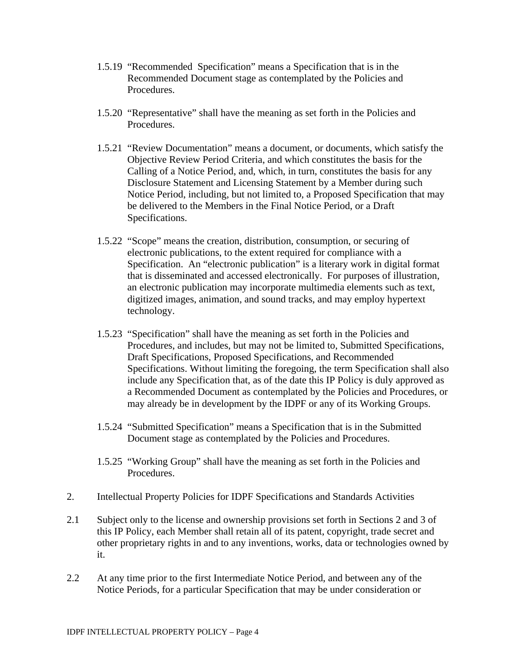- 1.5.19 "Recommended Specification" means a Specification that is in the Recommended Document stage as contemplated by the Policies and Procedures.
- 1.5.20 "Representative" shall have the meaning as set forth in the Policies and Procedures.
- 1.5.21 "Review Documentation" means a document, or documents, which satisfy the Objective Review Period Criteria, and which constitutes the basis for the Calling of a Notice Period, and, which, in turn, constitutes the basis for any Disclosure Statement and Licensing Statement by a Member during such Notice Period, including, but not limited to, a Proposed Specification that may be delivered to the Members in the Final Notice Period, or a Draft Specifications.
- 1.5.22 "Scope" means the creation, distribution, consumption, or securing of electronic publications, to the extent required for compliance with a Specification. An "electronic publication" is a literary work in digital format that is disseminated and accessed electronically. For purposes of illustration, an electronic publication may incorporate multimedia elements such as text, digitized images, animation, and sound tracks, and may employ hypertext technology.
- 1.5.23 "Specification" shall have the meaning as set forth in the Policies and Procedures, and includes, but may not be limited to, Submitted Specifications, Draft Specifications, Proposed Specifications, and Recommended Specifications. Without limiting the foregoing, the term Specification shall also include any Specification that, as of the date this IP Policy is duly approved as a Recommended Document as contemplated by the Policies and Procedures, or may already be in development by the IDPF or any of its Working Groups.
- 1.5.24 "Submitted Specification" means a Specification that is in the Submitted Document stage as contemplated by the Policies and Procedures.
- 1.5.25 "Working Group" shall have the meaning as set forth in the Policies and Procedures.
- 2. Intellectual Property Policies for IDPF Specifications and Standards Activities
- 2.1 Subject only to the license and ownership provisions set forth in Sections 2 and 3 of this IP Policy, each Member shall retain all of its patent, copyright, trade secret and other proprietary rights in and to any inventions, works, data or technologies owned by it.
- 2.2 At any time prior to the first Intermediate Notice Period, and between any of the Notice Periods, for a particular Specification that may be under consideration or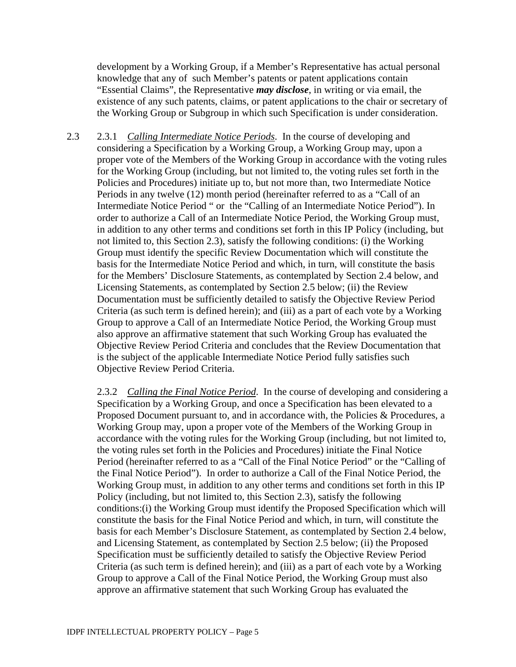development by a Working Group, if a Member's Representative has actual personal knowledge that any of such Member's patents or patent applications contain "Essential Claims", the Representative *may disclose*, in writing or via email, the existence of any such patents, claims, or patent applications to the chair or secretary of the Working Group or Subgroup in which such Specification is under consideration.

2.3 2.3.1 *Calling Intermediate Notice Periods*. In the course of developing and considering a Specification by a Working Group, a Working Group may, upon a proper vote of the Members of the Working Group in accordance with the voting rules for the Working Group (including, but not limited to, the voting rules set forth in the Policies and Procedures) initiate up to, but not more than, two Intermediate Notice Periods in any twelve (12) month period (hereinafter referred to as a "Call of an Intermediate Notice Period " or the "Calling of an Intermediate Notice Period"). In order to authorize a Call of an Intermediate Notice Period, the Working Group must, in addition to any other terms and conditions set forth in this IP Policy (including, but not limited to, this Section 2.3), satisfy the following conditions: (i) the Working Group must identify the specific Review Documentation which will constitute the basis for the Intermediate Notice Period and which, in turn, will constitute the basis for the Members' Disclosure Statements, as contemplated by Section 2.4 below, and Licensing Statements, as contemplated by Section 2.5 below; (ii) the Review Documentation must be sufficiently detailed to satisfy the Objective Review Period Criteria (as such term is defined herein); and (iii) as a part of each vote by a Working Group to approve a Call of an Intermediate Notice Period, the Working Group must also approve an affirmative statement that such Working Group has evaluated the Objective Review Period Criteria and concludes that the Review Documentation that is the subject of the applicable Intermediate Notice Period fully satisfies such Objective Review Period Criteria.

2.3.2 *Calling the Final Notice Period*. In the course of developing and considering a Specification by a Working Group, and once a Specification has been elevated to a Proposed Document pursuant to, and in accordance with, the Policies & Procedures, a Working Group may, upon a proper vote of the Members of the Working Group in accordance with the voting rules for the Working Group (including, but not limited to, the voting rules set forth in the Policies and Procedures) initiate the Final Notice Period (hereinafter referred to as a "Call of the Final Notice Period" or the "Calling of the Final Notice Period"). In order to authorize a Call of the Final Notice Period, the Working Group must, in addition to any other terms and conditions set forth in this IP Policy (including, but not limited to, this Section 2.3), satisfy the following conditions:(i) the Working Group must identify the Proposed Specification which will constitute the basis for the Final Notice Period and which, in turn, will constitute the basis for each Member's Disclosure Statement, as contemplated by Section 2.4 below, and Licensing Statement, as contemplated by Section 2.5 below; (ii) the Proposed Specification must be sufficiently detailed to satisfy the Objective Review Period Criteria (as such term is defined herein); and (iii) as a part of each vote by a Working Group to approve a Call of the Final Notice Period, the Working Group must also approve an affirmative statement that such Working Group has evaluated the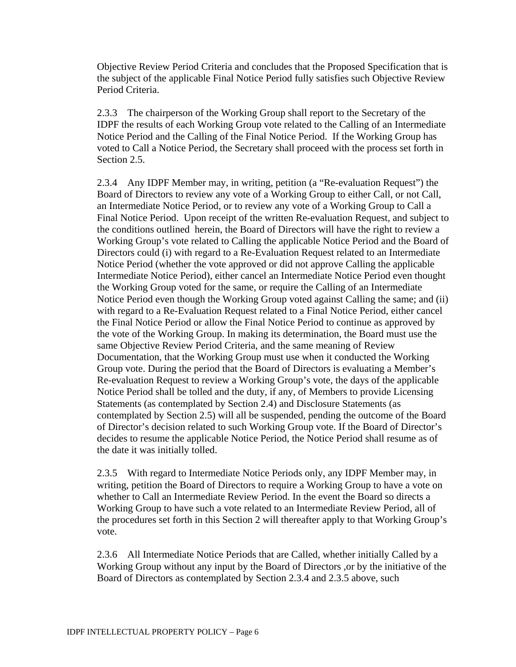Objective Review Period Criteria and concludes that the Proposed Specification that is the subject of the applicable Final Notice Period fully satisfies such Objective Review Period Criteria.

2.3.3 The chairperson of the Working Group shall report to the Secretary of the IDPF the results of each Working Group vote related to the Calling of an Intermediate Notice Period and the Calling of the Final Notice Period. If the Working Group has voted to Call a Notice Period, the Secretary shall proceed with the process set forth in Section 2.5.

2.3.4 Any IDPF Member may, in writing, petition (a "Re-evaluation Request") the Board of Directors to review any vote of a Working Group to either Call, or not Call, an Intermediate Notice Period, or to review any vote of a Working Group to Call a Final Notice Period. Upon receipt of the written Re-evaluation Request, and subject to the conditions outlined herein, the Board of Directors will have the right to review a Working Group's vote related to Calling the applicable Notice Period and the Board of Directors could (i) with regard to a Re-Evaluation Request related to an Intermediate Notice Period (whether the vote approved or did not approve Calling the applicable Intermediate Notice Period), either cancel an Intermediate Notice Period even thought the Working Group voted for the same, or require the Calling of an Intermediate Notice Period even though the Working Group voted against Calling the same; and (ii) with regard to a Re-Evaluation Request related to a Final Notice Period, either cancel the Final Notice Period or allow the Final Notice Period to continue as approved by the vote of the Working Group. In making its determination, the Board must use the same Objective Review Period Criteria, and the same meaning of Review Documentation, that the Working Group must use when it conducted the Working Group vote. During the period that the Board of Directors is evaluating a Member's Re-evaluation Request to review a Working Group's vote, the days of the applicable Notice Period shall be tolled and the duty, if any, of Members to provide Licensing Statements (as contemplated by Section 2.4) and Disclosure Statements (as contemplated by Section 2.5) will all be suspended, pending the outcome of the Board of Director's decision related to such Working Group vote. If the Board of Director's decides to resume the applicable Notice Period, the Notice Period shall resume as of the date it was initially tolled.

2.3.5 With regard to Intermediate Notice Periods only, any IDPF Member may, in writing, petition the Board of Directors to require a Working Group to have a vote on whether to Call an Intermediate Review Period. In the event the Board so directs a Working Group to have such a vote related to an Intermediate Review Period, all of the procedures set forth in this Section 2 will thereafter apply to that Working Group's vote.

2.3.6 All Intermediate Notice Periods that are Called, whether initially Called by a Working Group without any input by the Board of Directors ,or by the initiative of the Board of Directors as contemplated by Section 2.3.4 and 2.3.5 above, such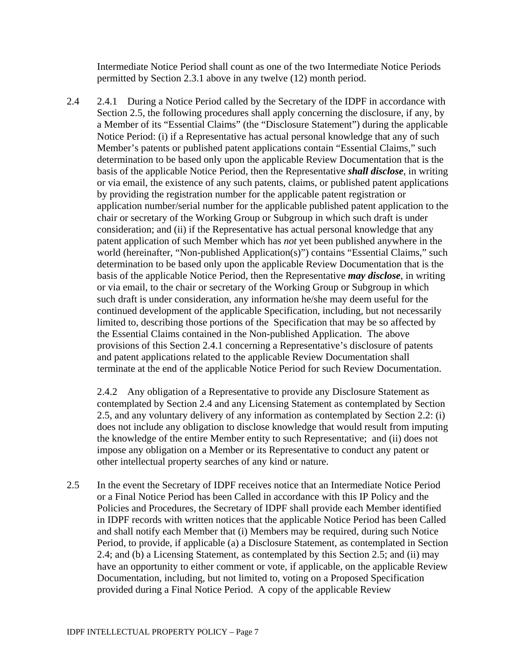Intermediate Notice Period shall count as one of the two Intermediate Notice Periods permitted by Section 2.3.1 above in any twelve (12) month period.

2.4 2.4.1 During a Notice Period called by the Secretary of the IDPF in accordance with Section 2.5, the following procedures shall apply concerning the disclosure, if any, by a Member of its "Essential Claims" (the "Disclosure Statement") during the applicable Notice Period: (i) if a Representative has actual personal knowledge that any of such Member's patents or published patent applications contain "Essential Claims," such determination to be based only upon the applicable Review Documentation that is the basis of the applicable Notice Period, then the Representative *shall disclose*, in writing or via email, the existence of any such patents, claims, or published patent applications by providing the registration number for the applicable patent registration or application number/serial number for the applicable published patent application to the chair or secretary of the Working Group or Subgroup in which such draft is under consideration; and (ii) if the Representative has actual personal knowledge that any patent application of such Member which has *not* yet been published anywhere in the world (hereinafter, "Non-published Application(s)") contains "Essential Claims," such determination to be based only upon the applicable Review Documentation that is the basis of the applicable Notice Period, then the Representative *may disclose*, in writing or via email, to the chair or secretary of the Working Group or Subgroup in which such draft is under consideration, any information he/she may deem useful for the continued development of the applicable Specification, including, but not necessarily limited to, describing those portions of the Specification that may be so affected by the Essential Claims contained in the Non-published Application. The above provisions of this Section 2.4.1 concerning a Representative's disclosure of patents and patent applications related to the applicable Review Documentation shall terminate at the end of the applicable Notice Period for such Review Documentation.

2.4.2 Any obligation of a Representative to provide any Disclosure Statement as contemplated by Section 2.4 and any Licensing Statement as contemplated by Section 2.5, and any voluntary delivery of any information as contemplated by Section 2.2: (i) does not include any obligation to disclose knowledge that would result from imputing the knowledge of the entire Member entity to such Representative; and (ii) does not impose any obligation on a Member or its Representative to conduct any patent or other intellectual property searches of any kind or nature.

2.5 In the event the Secretary of IDPF receives notice that an Intermediate Notice Period or a Final Notice Period has been Called in accordance with this IP Policy and the Policies and Procedures, the Secretary of IDPF shall provide each Member identified in IDPF records with written notices that the applicable Notice Period has been Called and shall notify each Member that (i) Members may be required, during such Notice Period, to provide, if applicable (a) a Disclosure Statement, as contemplated in Section 2.4; and (b) a Licensing Statement, as contemplated by this Section 2.5; and (ii) may have an opportunity to either comment or vote, if applicable, on the applicable Review Documentation, including, but not limited to, voting on a Proposed Specification provided during a Final Notice Period. A copy of the applicable Review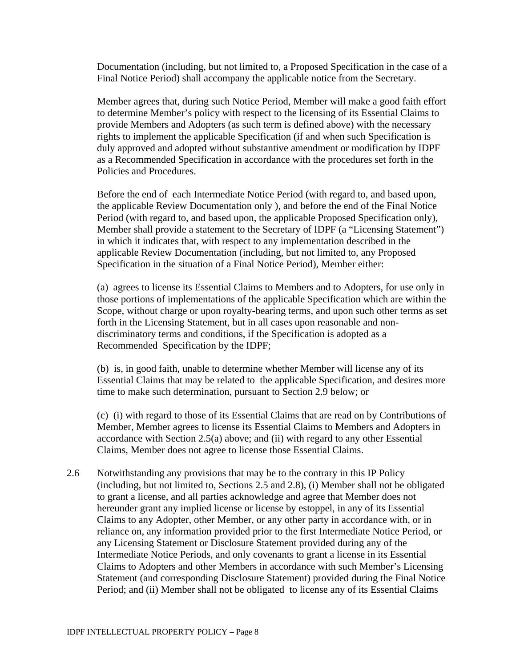Documentation (including, but not limited to, a Proposed Specification in the case of a Final Notice Period) shall accompany the applicable notice from the Secretary.

Member agrees that, during such Notice Period, Member will make a good faith effort to determine Member's policy with respect to the licensing of its Essential Claims to provide Members and Adopters (as such term is defined above) with the necessary rights to implement the applicable Specification (if and when such Specification is duly approved and adopted without substantive amendment or modification by IDPF as a Recommended Specification in accordance with the procedures set forth in the Policies and Procedures.

Before the end of each Intermediate Notice Period (with regard to, and based upon, the applicable Review Documentation only ), and before the end of the Final Notice Period (with regard to, and based upon, the applicable Proposed Specification only), Member shall provide a statement to the Secretary of IDPF (a "Licensing Statement") in which it indicates that, with respect to any implementation described in the applicable Review Documentation (including, but not limited to, any Proposed Specification in the situation of a Final Notice Period), Member either:

(a) agrees to license its Essential Claims to Members and to Adopters, for use only in those portions of implementations of the applicable Specification which are within the Scope, without charge or upon royalty-bearing terms, and upon such other terms as set forth in the Licensing Statement, but in all cases upon reasonable and nondiscriminatory terms and conditions, if the Specification is adopted as a Recommended Specification by the IDPF;

(b) is, in good faith, unable to determine whether Member will license any of its Essential Claims that may be related to the applicable Specification, and desires more time to make such determination, pursuant to Section 2.9 below; or

(c) (i) with regard to those of its Essential Claims that are read on by Contributions of Member, Member agrees to license its Essential Claims to Members and Adopters in accordance with Section 2.5(a) above; and (ii) with regard to any other Essential Claims, Member does not agree to license those Essential Claims.

2.6 Notwithstanding any provisions that may be to the contrary in this IP Policy (including, but not limited to, Sections 2.5 and 2.8), (i) Member shall not be obligated to grant a license, and all parties acknowledge and agree that Member does not hereunder grant any implied license or license by estoppel, in any of its Essential Claims to any Adopter, other Member, or any other party in accordance with, or in reliance on, any information provided prior to the first Intermediate Notice Period, or any Licensing Statement or Disclosure Statement provided during any of the Intermediate Notice Periods, and only covenants to grant a license in its Essential Claims to Adopters and other Members in accordance with such Member's Licensing Statement (and corresponding Disclosure Statement) provided during the Final Notice Period; and (ii) Member shall not be obligated to license any of its Essential Claims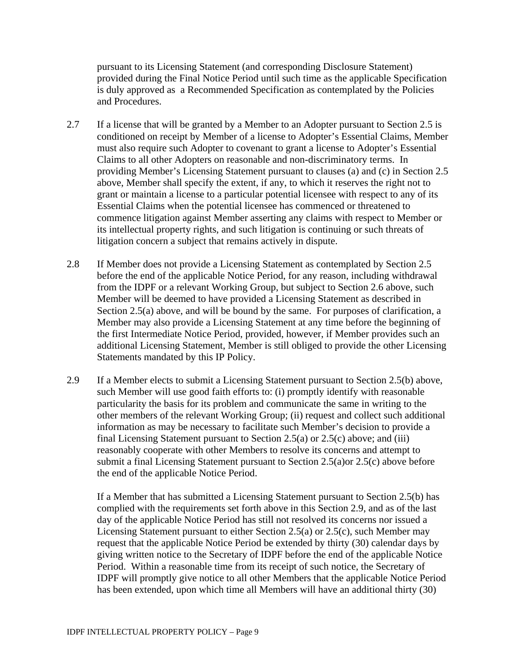pursuant to its Licensing Statement (and corresponding Disclosure Statement) provided during the Final Notice Period until such time as the applicable Specification is duly approved as a Recommended Specification as contemplated by the Policies and Procedures.

- 2.7 If a license that will be granted by a Member to an Adopter pursuant to Section 2.5 is conditioned on receipt by Member of a license to Adopter's Essential Claims, Member must also require such Adopter to covenant to grant a license to Adopter's Essential Claims to all other Adopters on reasonable and non-discriminatory terms. In providing Member's Licensing Statement pursuant to clauses (a) and (c) in Section 2.5 above, Member shall specify the extent, if any, to which it reserves the right not to grant or maintain a license to a particular potential licensee with respect to any of its Essential Claims when the potential licensee has commenced or threatened to commence litigation against Member asserting any claims with respect to Member or its intellectual property rights, and such litigation is continuing or such threats of litigation concern a subject that remains actively in dispute.
- 2.8 If Member does not provide a Licensing Statement as contemplated by Section 2.5 before the end of the applicable Notice Period, for any reason, including withdrawal from the IDPF or a relevant Working Group, but subject to Section 2.6 above, such Member will be deemed to have provided a Licensing Statement as described in Section 2.5(a) above, and will be bound by the same. For purposes of clarification, a Member may also provide a Licensing Statement at any time before the beginning of the first Intermediate Notice Period, provided, however, if Member provides such an additional Licensing Statement, Member is still obliged to provide the other Licensing Statements mandated by this IP Policy.
- 2.9 If a Member elects to submit a Licensing Statement pursuant to Section 2.5(b) above, such Member will use good faith efforts to: (i) promptly identify with reasonable particularity the basis for its problem and communicate the same in writing to the other members of the relevant Working Group; (ii) request and collect such additional information as may be necessary to facilitate such Member's decision to provide a final Licensing Statement pursuant to Section 2.5(a) or 2.5(c) above; and (iii) reasonably cooperate with other Members to resolve its concerns and attempt to submit a final Licensing Statement pursuant to Section 2.5(a)or 2.5(c) above before the end of the applicable Notice Period.

If a Member that has submitted a Licensing Statement pursuant to Section 2.5(b) has complied with the requirements set forth above in this Section 2.9, and as of the last day of the applicable Notice Period has still not resolved its concerns nor issued a Licensing Statement pursuant to either Section 2.5(a) or 2.5(c), such Member may request that the applicable Notice Period be extended by thirty (30) calendar days by giving written notice to the Secretary of IDPF before the end of the applicable Notice Period. Within a reasonable time from its receipt of such notice, the Secretary of IDPF will promptly give notice to all other Members that the applicable Notice Period has been extended, upon which time all Members will have an additional thirty (30)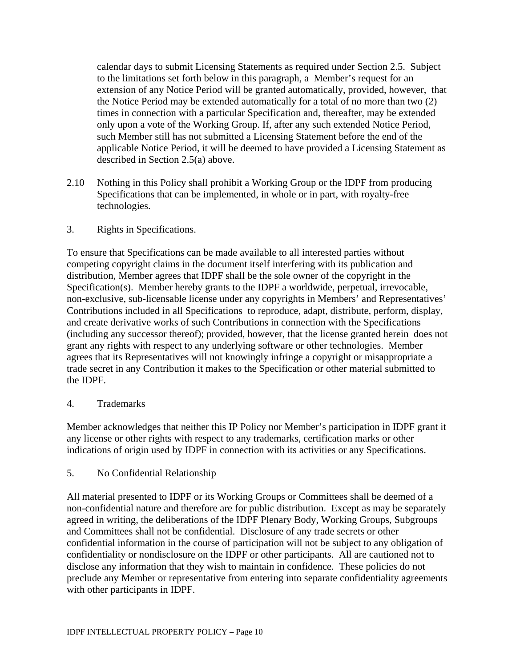calendar days to submit Licensing Statements as required under Section 2.5. Subject to the limitations set forth below in this paragraph, a Member's request for an extension of any Notice Period will be granted automatically, provided, however, that the Notice Period may be extended automatically for a total of no more than two (2) times in connection with a particular Specification and, thereafter, may be extended only upon a vote of the Working Group. If, after any such extended Notice Period, such Member still has not submitted a Licensing Statement before the end of the applicable Notice Period, it will be deemed to have provided a Licensing Statement as described in Section 2.5(a) above.

2.10 Nothing in this Policy shall prohibit a Working Group or the IDPF from producing Specifications that can be implemented, in whole or in part, with royalty-free technologies.

## 3. Rights in Specifications.

To ensure that Specifications can be made available to all interested parties without competing copyright claims in the document itself interfering with its publication and distribution, Member agrees that IDPF shall be the sole owner of the copyright in the Specification(s). Member hereby grants to the IDPF a worldwide, perpetual, irrevocable, non-exclusive, sub-licensable license under any copyrights in Members' and Representatives' Contributions included in all Specifications to reproduce, adapt, distribute, perform, display, and create derivative works of such Contributions in connection with the Specifications (including any successor thereof); provided, however, that the license granted herein does not grant any rights with respect to any underlying software or other technologies. Member agrees that its Representatives will not knowingly infringe a copyright or misappropriate a trade secret in any Contribution it makes to the Specification or other material submitted to the IDPF.

## 4. Trademarks

Member acknowledges that neither this IP Policy nor Member's participation in IDPF grant it any license or other rights with respect to any trademarks, certification marks or other indications of origin used by IDPF in connection with its activities or any Specifications.

## 5. No Confidential Relationship

All material presented to IDPF or its Working Groups or Committees shall be deemed of a non-confidential nature and therefore are for public distribution. Except as may be separately agreed in writing, the deliberations of the IDPF Plenary Body, Working Groups, Subgroups and Committees shall not be confidential. Disclosure of any trade secrets or other confidential information in the course of participation will not be subject to any obligation of confidentiality or nondisclosure on the IDPF or other participants. All are cautioned not to disclose any information that they wish to maintain in confidence. These policies do not preclude any Member or representative from entering into separate confidentiality agreements with other participants in IDPF.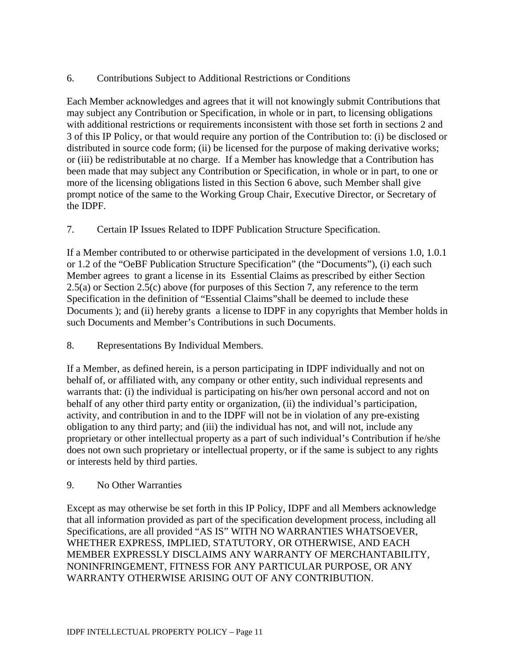## 6. Contributions Subject to Additional Restrictions or Conditions

Each Member acknowledges and agrees that it will not knowingly submit Contributions that may subject any Contribution or Specification, in whole or in part, to licensing obligations with additional restrictions or requirements inconsistent with those set forth in sections 2 and 3 of this IP Policy, or that would require any portion of the Contribution to: (i) be disclosed or distributed in source code form; (ii) be licensed for the purpose of making derivative works; or (iii) be redistributable at no charge. If a Member has knowledge that a Contribution has been made that may subject any Contribution or Specification, in whole or in part, to one or more of the licensing obligations listed in this Section 6 above, such Member shall give prompt notice of the same to the Working Group Chair, Executive Director, or Secretary of the IDPF.

7. Certain IP Issues Related to IDPF Publication Structure Specification.

If a Member contributed to or otherwise participated in the development of versions 1.0, 1.0.1 or 1.2 of the "OeBF Publication Structure Specification" (the "Documents"), (i) each such Member agrees to grant a license in its Essential Claims as prescribed by either Section 2.5(a) or Section 2.5(c) above (for purposes of this Section 7, any reference to the term Specification in the definition of "Essential Claims"shall be deemed to include these Documents ); and (ii) hereby grants a license to IDPF in any copyrights that Member holds in such Documents and Member's Contributions in such Documents.

8. Representations By Individual Members.

If a Member, as defined herein, is a person participating in IDPF individually and not on behalf of, or affiliated with, any company or other entity, such individual represents and warrants that: (i) the individual is participating on his/her own personal accord and not on behalf of any other third party entity or organization, (ii) the individual's participation, activity, and contribution in and to the IDPF will not be in violation of any pre-existing obligation to any third party; and (iii) the individual has not, and will not, include any proprietary or other intellectual property as a part of such individual's Contribution if he/she does not own such proprietary or intellectual property, or if the same is subject to any rights or interests held by third parties.

## 9. No Other Warranties

Except as may otherwise be set forth in this IP Policy, IDPF and all Members acknowledge that all information provided as part of the specification development process, including all Specifications, are all provided "AS IS" WITH NO WARRANTIES WHATSOEVER, WHETHER EXPRESS, IMPLIED, STATUTORY, OR OTHERWISE, AND EACH MEMBER EXPRESSLY DISCLAIMS ANY WARRANTY OF MERCHANTABILITY, NONINFRINGEMENT, FITNESS FOR ANY PARTICULAR PURPOSE, OR ANY WARRANTY OTHERWISE ARISING OUT OF ANY CONTRIBUTION.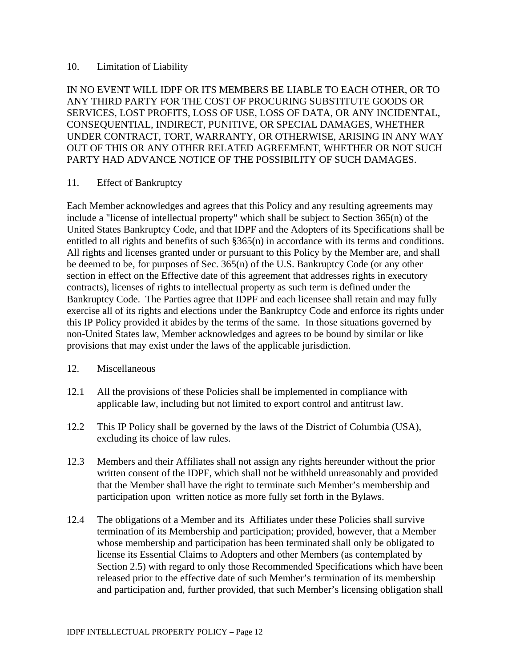#### 10. Limitation of Liability

IN NO EVENT WILL IDPF OR ITS MEMBERS BE LIABLE TO EACH OTHER, OR TO ANY THIRD PARTY FOR THE COST OF PROCURING SUBSTITUTE GOODS OR SERVICES, LOST PROFITS, LOSS OF USE, LOSS OF DATA, OR ANY INCIDENTAL, CONSEQUENTIAL, INDIRECT, PUNITIVE, OR SPECIAL DAMAGES, WHETHER UNDER CONTRACT, TORT, WARRANTY, OR OTHERWISE, ARISING IN ANY WAY OUT OF THIS OR ANY OTHER RELATED AGREEMENT, WHETHER OR NOT SUCH PARTY HAD ADVANCE NOTICE OF THE POSSIBILITY OF SUCH DAMAGES.

#### 11. Effect of Bankruptcy

Each Member acknowledges and agrees that this Policy and any resulting agreements may include a "license of intellectual property" which shall be subject to Section 365(n) of the United States Bankruptcy Code, and that IDPF and the Adopters of its Specifications shall be entitled to all rights and benefits of such §365(n) in accordance with its terms and conditions. All rights and licenses granted under or pursuant to this Policy by the Member are, and shall be deemed to be, for purposes of Sec. 365(n) of the U.S. Bankruptcy Code (or any other section in effect on the Effective date of this agreement that addresses rights in executory contracts), licenses of rights to intellectual property as such term is defined under the Bankruptcy Code. The Parties agree that IDPF and each licensee shall retain and may fully exercise all of its rights and elections under the Bankruptcy Code and enforce its rights under this IP Policy provided it abides by the terms of the same*.* In those situations governed by non-United States law, Member acknowledges and agrees to be bound by similar or like provisions that may exist under the laws of the applicable jurisdiction.

#### 12. Miscellaneous

- 12.1 All the provisions of these Policies shall be implemented in compliance with applicable law, including but not limited to export control and antitrust law.
- 12.2 This IP Policy shall be governed by the laws of the District of Columbia (USA), excluding its choice of law rules.
- 12.3 Members and their Affiliates shall not assign any rights hereunder without the prior written consent of the IDPF, which shall not be withheld unreasonably and provided that the Member shall have the right to terminate such Member's membership and participation upon written notice as more fully set forth in the Bylaws.
- 12.4 The obligations of a Member and its Affiliates under these Policies shall survive termination of its Membership and participation; provided, however, that a Member whose membership and participation has been terminated shall only be obligated to license its Essential Claims to Adopters and other Members (as contemplated by Section 2.5) with regard to only those Recommended Specifications which have been released prior to the effective date of such Member's termination of its membership and participation and, further provided, that such Member's licensing obligation shall